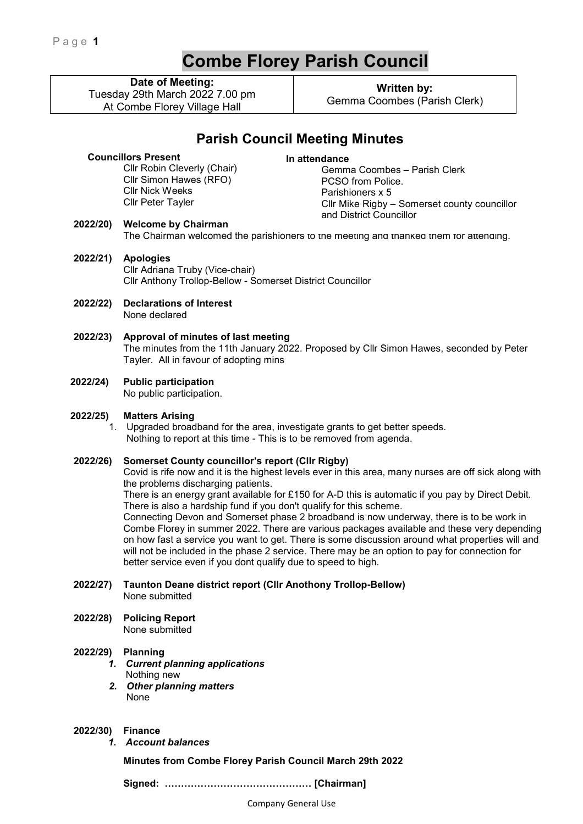# **Combe Florey Parish Council**

**Date of Meeting:**

Tuesday 29th March 2022 7.00 pm At Combe Florey Village Hall

**Written by:**  Gemma Coombes (Parish Clerk)

## **Parish Council Meeting Minutes**

## **Councillors Present**

Cllr Robin Cleverly (Chair) Cllr Simon Hawes (RFO) Cllr Nick Weeks Cllr Peter Tayler

**In attendance**  Gemma Coombes – Parish Clerk PCSO from Police. Parishioners x 5 Cllr Mike Rigby – Somerset county councillor and District Councillor

## **2022/20) Welcome by Chairman**

The Chairman welcomed the parishioners to the meeting and thanked them for attending.

- **2022/21) Apologies**  Cllr Adriana Truby (Vice-chair) Cllr Anthony Trollop-Bellow - Somerset District Councillor
- **2022/22) Declarations of Interest**  None declared
- **2022/23) Approval of minutes of last meeting**  The minutes from the 11th January 2022. Proposed by Cllr Simon Hawes, seconded by Peter Tayler. All in favour of adopting mins
- **2022/24) Public participation**

No public participation.

#### **2022/25) Matters Arising**

1. Upgraded broadband for the area, investigate grants to get better speeds. Nothing to report at this time - This is to be removed from agenda.

#### **2022/26) Somerset County councillor's report (Cllr Rigby)**

Covid is rife now and it is the highest levels ever in this area, many nurses are off sick along with the problems discharging patients.

There is an energy grant available for £150 for A-D this is automatic if you pay by Direct Debit. There is also a hardship fund if you don't qualify for this scheme.

Connecting Devon and Somerset phase 2 broadband is now underway, there is to be work in Combe Florey in summer 2022. There are various packages available and these very depending on how fast a service you want to get. There is some discussion around what properties will and will not be included in the phase 2 service. There may be an option to pay for connection for better service even if you dont qualify due to speed to high.

**2022/27) Taunton Deane district report (Cllr Anothony Trollop-Bellow)**  None submitted

**2022/28) Policing Report**  None submitted

#### **2022/29) Planning**

- *1. Current planning applications*  Nothing new
- *2. Other planning matters*  None
- **2022/30) Finance** 
	- *1. Account balances*

**Minutes from Combe Florey Parish Council March 29th 2022** 

 **Signed: ……………………………………… [Chairman]**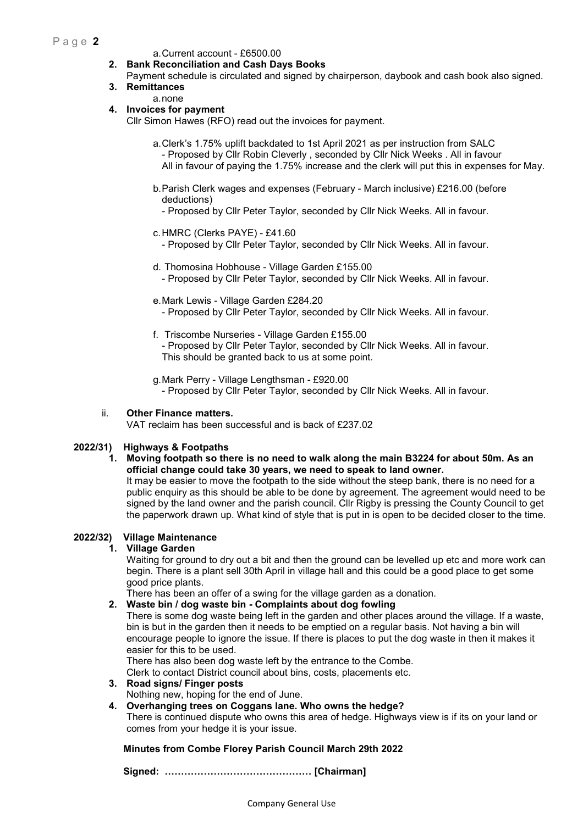## P a g e **2**

#### a. Current account - £6500.00

#### **2. Bank Reconciliation and Cash Days Books**

Payment schedule is circulated and signed by chairperson, daybook and cash book also signed. **3. Remittances** 

## a. none

## **4. Invoices for payment**

Cllr Simon Hawes (RFO) read out the invoices for payment.

- a. Clerk's 1.75% uplift backdated to 1st April 2021 as per instruction from SALC - Proposed by Cllr Robin Cleverly , seconded by Cllr Nick Weeks . All in favour All in favour of paying the 1.75% increase and the clerk will put this in expenses for May.
- b. Parish Clerk wages and expenses (February March inclusive) £216.00 (before deductions)
	- Proposed by Cllr Peter Taylor, seconded by Cllr Nick Weeks. All in favour.
- c. HMRC (Clerks PAYE) £41.60
	- Proposed by Cllr Peter Taylor, seconded by Cllr Nick Weeks. All in favour.
- d. Thomosina Hobhouse Village Garden £155.00
	- Proposed by Cllr Peter Taylor, seconded by Cllr Nick Weeks. All in favour.
- e. Mark Lewis Village Garden £284.20
	- Proposed by Cllr Peter Taylor, seconded by Cllr Nick Weeks. All in favour.
- f. Triscombe Nurseries Village Garden £155.00 - Proposed by Cllr Peter Taylor, seconded by Cllr Nick Weeks. All in favour. This should be granted back to us at some point.

g. Mark Perry - Village Lengthsman - £920.00 - Proposed by Cllr Peter Taylor, seconded by Cllr Nick Weeks. All in favour.

#### ii. **Other Finance matters.**

VAT reclaim has been successful and is back of £237.02

## **2022/31) Highways & Footpaths**

#### **1. Moving footpath so there is no need to walk along the main B3224 for about 50m. As an official change could take 30 years, we need to speak to land owner.**

It may be easier to move the footpath to the side without the steep bank, there is no need for a public enquiry as this should be able to be done by agreement. The agreement would need to be signed by the land owner and the parish council. Cllr Rigby is pressing the County Council to get the paperwork drawn up. What kind of style that is put in is open to be decided closer to the time.

#### **2022/32) Village Maintenance**

## **1. Village Garden**

Waiting for ground to dry out a bit and then the ground can be levelled up etc and more work can begin. There is a plant sell 30th April in village hall and this could be a good place to get some good price plants.

There has been an offer of a swing for the village garden as a donation.

#### **2. Waste bin / dog waste bin - Complaints about dog fowling**

There is some dog waste being left in the garden and other places around the village. If a waste, bin is but in the garden then it needs to be emptied on a regular basis. Not having a bin will encourage people to ignore the issue. If there is places to put the dog waste in then it makes it easier for this to be used.

There has also been dog waste left by the entrance to the Combe.

Clerk to contact District council about bins, costs, placements etc.

**3. Road signs/ Finger posts** 

Nothing new, hoping for the end of June.

**4. Overhanging trees on Coggans lane. Who owns the hedge?** 

There is continued dispute who owns this area of hedge. Highways view is if its on your land or comes from your hedge it is your issue.

## **Minutes from Combe Florey Parish Council March 29th 2022**

 **Signed: ……………………………………… [Chairman]**